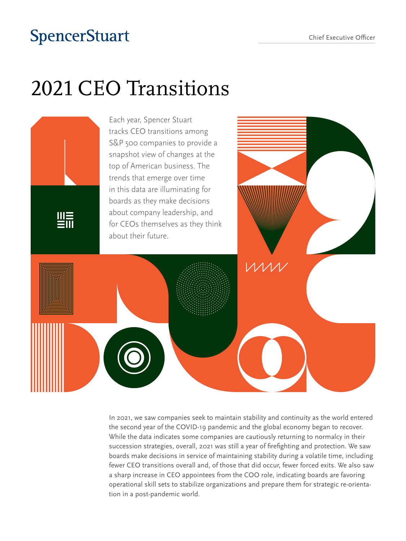## **SpencerStuart**

# 2021 CEO Transitions



In 2021, we saw companies seek to maintain stability and continuity as the world entered the second year of the COVID-19 pandemic and the global economy began to recover. While the data indicates some companies are cautiously returning to normalcy in their succession strategies, overall, 2021 was still a year of firefighting and protection. We saw boards make decisions in service of maintaining stability during a volatile time, including fewer CEO transitions overall and, of those that did occur, fewer forced exits. We also saw a sharp increase in CEO appointees from the COO role, indicating boards are favoring operational skill sets to stabilize organizations and prepare them for strategic re-orientation in a post-pandemic world.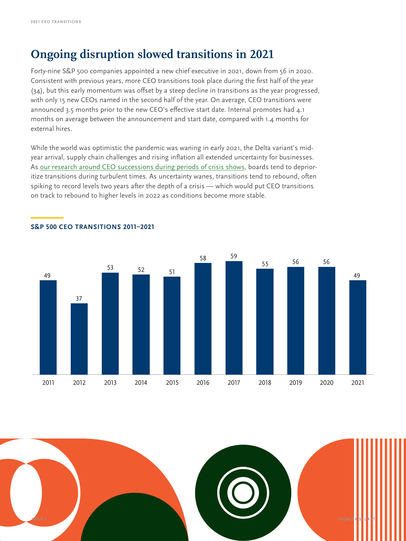#### **Ongoing disruption slowed transitions in 2021**

Forty-nine S&P 500 companies appointed a new chief executive in 2021, down from 56 in 2020. Consistent with previous years, more CEO transitions took place during the first half of the year (34), but this early momentum was offset by a steep decline in transitions as the year progressed, with only 15 new CEOs named in the second half of the year. On average, CEO transitions were announced 3.5 months prior to the new CEO's effective start date. Internal promotes had 4.1 months on average between the announcement and start date, compared with 1.4 months for external hires.

While the world was optimistic the pandemic was waning in early 2021, the Delta variant's midyear arrival, supply chain challenges and rising inflation all extended uncertainty for businesses. As [our research around CEO successions during periods of crisis shows,](https://www.spencerstuart.com/research-and-insight/crisis-put-ceo-successions-on-hold-in-2020) boards tend to deprioritize transitions during turbulent times. As uncertainty wanes, transitions tend to rebound, often spiking to record levels two years after the depth of a crisis — which would put CEO transitions on track to rebound to higher levels in 2022 as conditions become more stable.



#### **—S&P 500 CEO TRANSITIONS 2011–2021**

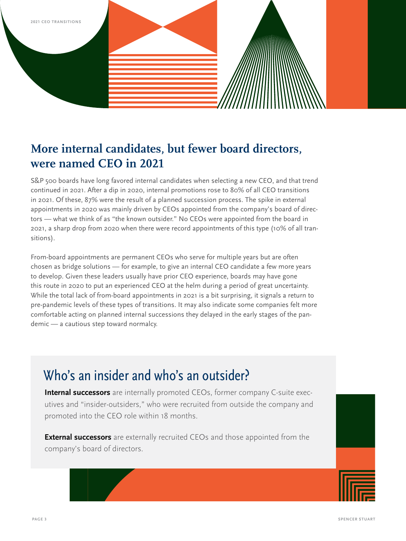

### **More internal candidates, but fewer board directors, were named CEO in 2021**

S&P 500 boards have long favored internal candidates when selecting a new CEO, and that trend continued in 2021. After a dip in 2020, internal promotions rose to 80% of all CEO transitions in 2021. Of these, 87% were the result of a planned succession process. The spike in external appointments in 2020 was mainly driven by CEOs appointed from the company's board of directors — what we think of as "the known outsider." No CEOs were appointed from the board in 2021, a sharp drop from 2020 when there were record appointments of this type (10% of all transitions).

From-board appointments are permanent CEOs who serve for multiple years but are often chosen as bridge solutions — for example, to give an internal CEO candidate a few more years to develop. Given these leaders usually have prior CEO experience, boards may have gone this route in 2020 to put an experienced CEO at the helm during a period of great uncertainty. While the total lack of from-board appointments in 2021 is a bit surprising, it signals a return to pre-pandemic levels of these types of transitions. It may also indicate some companies felt more comfortable acting on planned internal successions they delayed in the early stages of the pandemic — a cautious step toward normalcy.

### Who's an insider and who's an outsider?

**Internal successors** are internally promoted CEOs, former company C-suite executives and "insider-outsiders," who were recruited from outside the company and promoted into the CEO role within 18 months.

**External successors** are externally recruited CEOs and those appointed from the company's board of directors.

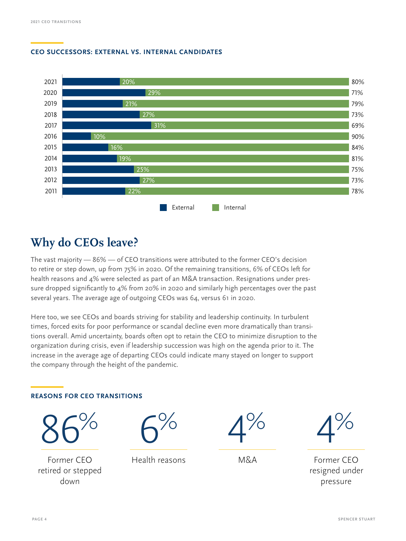#### **—CEO SUCCESSORS: EXTERNAL VS. INTERNAL CANDIDATES**



#### **Why do CEOs leave?**

The vast majority — 86% — of CEO transitions were attributed to the former CEO's decision to retire or step down, up from 75% in 2020. Of the remaining transitions, 6% of CEOs left for health reasons and 4% were selected as part of an M&A transaction. Resignations under pressure dropped significantly to 4% from 20% in 2020 and similarly high percentages over the past several years. The average age of outgoing CEOs was 64, versus 61 in 2020.

Here too, we see CEOs and boards striving for stability and leadership continuity. In turbulent times, forced exits for poor performance or scandal decline even more dramatically than transitions overall. Amid uncertainty, boards often opt to retain the CEO to minimize disruption to the organization during crisis, even if leadership succession was high on the agenda prior to it. The increase in the average age of departing CEOs could indicate many stayed on longer to support the company through the height of the pandemic.

#### **—REASONS FOR CEO TRANSITIONS**



Former CEO retired or stepped down



Health reasons



M&A



Former CEO resigned under pressure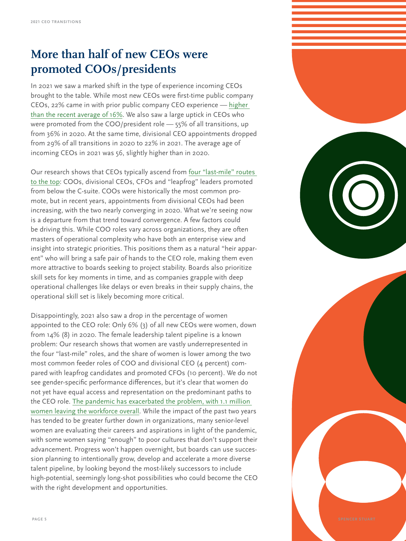### **More than half of new CEOs were promoted COOs/presidents**

In 2021 we saw a marked shift in the type of experience incoming CEOs brought to the table. While most new CEOs were first-time public company CEOs, 22% came in with prior public company CEO experience — [higher](https://www.spencerstuart.com/research-and-insight/predicting-ceo-success-when-potential-outperforms-experience)  [than the recent average of 16%](https://www.spencerstuart.com/research-and-insight/predicting-ceo-success-when-potential-outperforms-experience). We also saw a large uptick in CEOs who were promoted from the COO/president role — 55% of all transitions, up from 36% in 2020. At the same time, divisional CEO appointments dropped from 29% of all transitions in 2020 to 22% in 2021. The average age of incoming CEOs in 2021 was 56, slightly higher than in 2020.

Our research shows that CEOs typically ascend from [four "last-mile"](https://www.spencerstuart.com/research-and-insight/future-ceos-who-beat-the-odds) routes to the top: COOs, divisional CEOs, CFOs and "leapfrog" leaders promoted from below the C-suite. COOs were historically the most common promote, but in recent years, appointments from divisional CEOs had been increasing, with the two nearly converging in 2020. What we're seeing now is a departure from that trend toward convergence. A few factors could be driving this. While COO roles vary across organizations, they are often masters of operational complexity who have both an enterprise view and insight into strategic priorities. This positions them as a natural "heir apparent" who will bring a safe pair of hands to the CEO role, making them even more attractive to boards seeking to project stability. Boards also prioritize skill sets for key moments in time, and as companies grapple with deep operational challenges like delays or even breaks in their supply chains, the operational skill set is likely becoming more critical.

Disappointingly, 2021 also saw a drop in the percentage of women appointed to the CEO role: Only 6% (3) of all new CEOs were women, down from 14% (8) in 2020. The female leadership talent pipeline is a known problem: Our research shows that women are vastly underrepresented in the four "last-mile" roles, and the share of women is lower among the two most common feeder roles of COO and divisional CEO (4 percent) compared with leapfrog candidates and promoted CFOs (10 percent). We do not see gender-specific performance differences, but it's clear that women do not yet have equal access and representation on the predominant paths to the CEO role. [The pandemic has exacerbated the problem, with 1.1 million](https://www.spencerstuart.com/research-and-insight/accelerating-womens-progress-breaking-bias-and-building-inclusive-workplaces)  [women leaving the workforce overall.](https://www.spencerstuart.com/research-and-insight/accelerating-womens-progress-breaking-bias-and-building-inclusive-workplaces) While the impact of the past two years has tended to be greater further down in organizations, many senior-level women are evaluating their careers and aspirations in light of the pandemic, with some women saying "enough" to poor cultures that don't support their advancement. Progress won't happen overnight, but boards can use succession planning to intentionally grow, develop and accelerate a more diverse talent pipeline, by looking beyond the most-likely successors to include high-potential, seemingly long-shot possibilities who could become the CEO with the right development and opportunities.

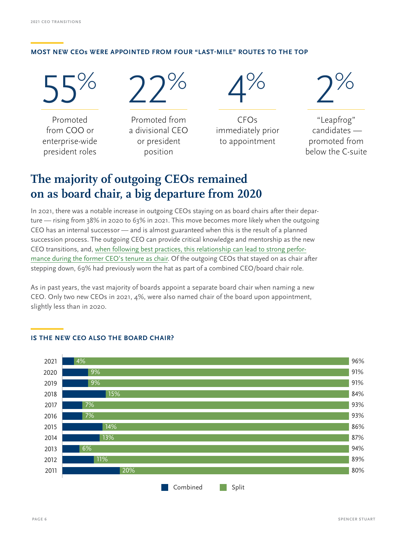#### **—MOST NEW CEOs WERE APPOINTED FROM FOUR "LAST-MILE" ROUTES TO THE TOP**

55% Promoted from COO or

enterprise-wide president roles

22%

Promoted from a divisional CEO or president position

 $4%$ 

CFOs immediately prior to appointment

2%

"Leapfrog" candidates promoted from below the C-suite

### **The majority of outgoing CEOs remained on as board chair, a big departure from 2020**

In 2021, there was a notable increase in outgoing CEOs staying on as board chairs after their departure — rising from 38% in 2020 to 63% in 2021. This move becomes more likely when the outgoing CEO has an internal successor — and is almost guaranteed when this is the result of a planned succession process. The outgoing CEO can provide critical knowledge and mentorship as the new CEO transitions, and, [when following best practices, this relationship can lead to strong perfor](https://www.spencerstuart.com/research-and-insight/when-an-executive-chair-helps-or-hinders-company-performance)[mance during the former CEO's tenure as chair](https://www.spencerstuart.com/research-and-insight/when-an-executive-chair-helps-or-hinders-company-performance). Of the outgoing CEOs that stayed on as chair after stepping down, 69% had previously worn the hat as part of a combined CEO/board chair role.

As in past years, the vast majority of boards appoint a separate board chair when naming a new CEO. Only two new CEOs in 2021, 4%, were also named chair of the board upon appointment, slightly less than in 2020.



#### **—IS THE NEW CEO ALSO THE BOARD CHAIR?**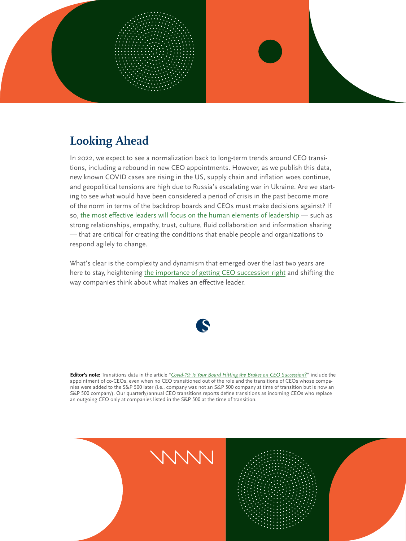

### **Looking Ahead**

In 2022, we expect to see a normalization back to long-term trends around CEO transitions, including a rebound in new CEO appointments. However, as we publish this data, new known COVID cases are rising in the US, supply chain and inflation woes continue, and geopolitical tensions are high due to Russia's escalating war in Ukraine. Are we starting to see what would have been considered a period of crisis in the past become more of the norm in terms of the backdrop boards and CEOs must make decisions against? If so, [the most effective leaders will focus on the human elements of leadership](https://www.spencerstuart.com/research-and-insight/going-deeper-why-the-future-of-leadership-is-beneath-the-surface) — such as strong relationships, empathy, trust, culture, fluid collaboration and information sharing — that are critical for creating the conditions that enable people and organizations to respond agilely to change.

What's clear is the complexity and dynamism that emerged over the last two years are here to stay, heightening [the importance of getting CEO succession right](https://www.spencerstuart.com/research-and-insight/too-important-to-fail-four-new-rules-for-ceo-succession-planning) and shifting the way companies think about what makes an effective leader.



**Editor's note:** Transitions data in the article "*[Covid‑19: Is Your Board Hitting the Brakes on CEO Succession?](https://www.spencerstuart.com/research-and-insight/covid-19-is-your-board-hitting-the-brakes-on-ceo-succession)*" include the appointment of co-CEOs, even when no CEO transitioned out of the role and the transitions of CEOs whose companies were added to the S&P 500 later (i.e., company was not an S&P 500 company at time of transition but is now an S&P 500 company). Our quarterly/annual CEO transitions reports define transitions as incoming CEOs who replace an outgoing CEO only at companies listed in the S&P 500 at the time of transition.